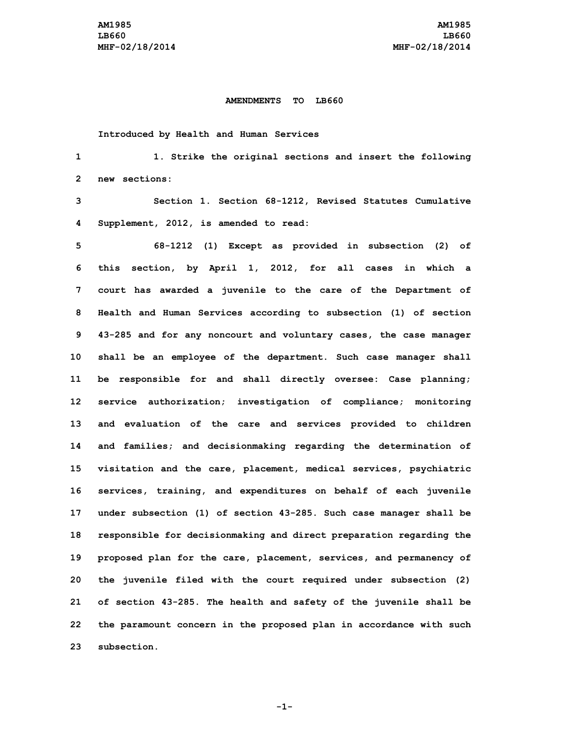## **AMENDMENTS TO LB660**

**Introduced by Health and Human Services**

 **1. Strike the original sections and insert the following new sections: Section 1. Section 68-1212, Revised Statutes Cumulative Supplement, 2012, is amended to read: 68-1212 (1) Except as provided in subsection (2) of this section, by April 1, 2012, for all cases in which <sup>a</sup> court has awarded <sup>a</sup> juvenile to the care of the Department of Health and Human Services according to subsection (1) of section 43-285 and for any noncourt and voluntary cases, the case manager shall be an employee of the department. Such case manager shall be responsible for and shall directly oversee: Case planning; service authorization; investigation of compliance; monitoring and evaluation of the care and services provided to children and families; and decisionmaking regarding the determination of visitation and the care, placement, medical services, psychiatric services, training, and expenditures on behalf of each juvenile under subsection (1) of section 43-285. Such case manager shall be responsible for decisionmaking and direct preparation regarding the proposed plan for the care, placement, services, and permanency of the juvenile filed with the court required under subsection (2) of section 43-285. The health and safety of the juvenile shall be the paramount concern in the proposed plan in accordance with such subsection.**

**-1-**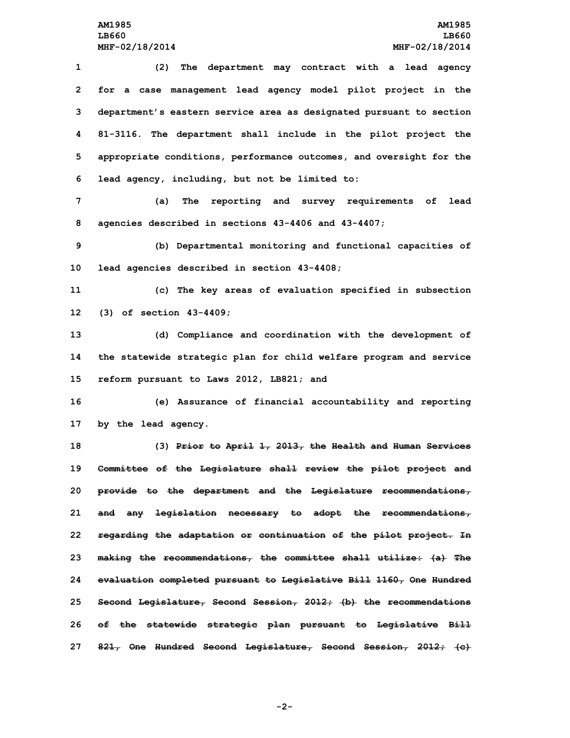**(2) The department may contract with <sup>a</sup> lead agency for <sup>a</sup> case management lead agency model pilot project in the department's eastern service area as designated pursuant to section 81-3116. The department shall include in the pilot project the appropriate conditions, performance outcomes, and oversight for the lead agency, including, but not be limited to:**

**7 (a) The reporting and survey requirements of lead 8 agencies described in sections 43-4406 and 43-4407;**

**9 (b) Departmental monitoring and functional capacities of 10 lead agencies described in section 43-4408;**

**11 (c) The key areas of evaluation specified in subsection 12 (3) of section 43-4409;**

**13 (d) Compliance and coordination with the development of 14 the statewide strategic plan for child welfare program and service 15 reform pursuant to Laws 2012, LB821; and**

**16 (e) Assurance of financial accountability and reporting 17 by the lead agency.**

 **(3) Prior to April 1, 2013, the Health and Human Services Committee of the Legislature shall review the pilot project and provide to the department and the Legislature recommendations, and any legislation necessary to adopt the recommendations, regarding the adaptation or continuation of the pilot project. In making the recommendations, the committee shall utilize: (a) The evaluation completed pursuant to Legislative Bill 1160, One Hundred Second Legislature, Second Session, 2012; (b) the recommendations of the statewide strategic plan pursuant to Legislative Bill 821, One Hundred Second Legislature, Second Session, 2012; (c)**

**-2-**